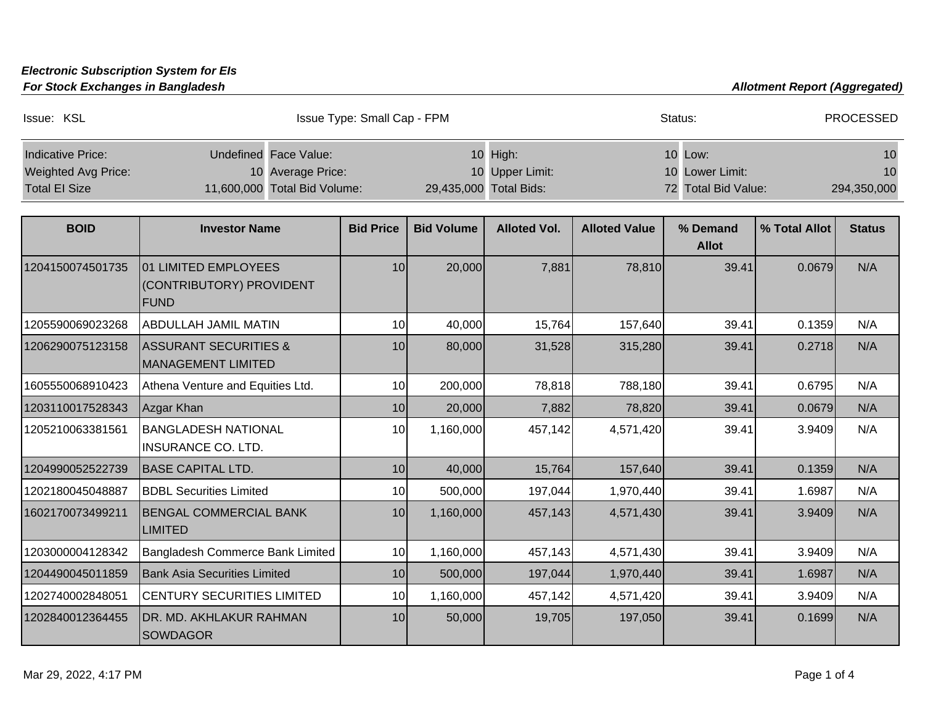## **Electronic Subscription System for EIs**

**For Stock Exchanges in Bangladesh Allotment Report (Aggregated) Allotment Report (Aggregated)** 

| Indicative Price:                                  | Undefined Face Value:                                    |                  |                   | 10 High:                                  |                      | 10 Low:                                |               | 10                |
|----------------------------------------------------|----------------------------------------------------------|------------------|-------------------|-------------------------------------------|----------------------|----------------------------------------|---------------|-------------------|
| <b>Weighted Avg Price:</b><br><b>Total El Size</b> | 10 Average Price:<br>11,600,000 Total Bid Volume:        |                  |                   | 10 Upper Limit:<br>29,435,000 Total Bids: |                      | 10 Lower Limit:<br>72 Total Bid Value: |               | 10<br>294,350,000 |
|                                                    |                                                          |                  |                   |                                           |                      |                                        |               |                   |
| <b>BOID</b>                                        | <b>Investor Name</b>                                     | <b>Bid Price</b> | <b>Bid Volume</b> | <b>Alloted Vol.</b>                       | <b>Alloted Value</b> | % Demand                               | % Total Allot | <b>Status</b>     |
|                                                    |                                                          |                  |                   |                                           |                      | <b>Allot</b>                           |               |                   |
| 1204150074501735                                   | 01 LIMITED EMPLOYEES<br>(CONTRIBUTORY) PROVIDENT<br>FUND | 10 <sup>1</sup>  | 20,000            | 7,881                                     | 78,810               | 39.41                                  | 0.0679        | N/A               |
| 1205590069023268                                   | <b>ABDULLAH JAMIL MATIN</b>                              | 10               | 40,000            | 15,764                                    | 157,640              | 39.41                                  | 0.1359        | N/A               |
| 1206290075123158                                   | <b>ASSURANT SECURITIES &amp;</b><br>MANAGEMENT LIMITED   | 10 <sup>1</sup>  | 80,000            | 31,528                                    | 315,280              | 39.41                                  | 0.2718        | N/A               |
| 1605550068910423                                   | Athena Venture and Equities Ltd.                         | 10               | 200,000           | 78,818                                    | 788,180              | 39.41                                  | 0.6795        | N/A               |
| 1203110017528343                                   | Azgar Khan                                               | 10               | 20,000            | 7,882                                     | 78,820               | 39.41                                  | 0.0679        | N/A               |
| 1205210063381561                                   | <b>BANGLADESH NATIONAL</b><br><b>INSURANCE CO. LTD.</b>  | 10               | 1,160,000         | 457,142                                   | 4,571,420            | 39.41                                  | 3.9409        | N/A               |
| 1204990052522739                                   | <b>BASE CAPITAL LTD.</b>                                 | 10               | 40,000            | 15,764                                    | 157,640              | 39.41                                  | 0.1359        | N/A               |
| 1202180045048887                                   | <b>BDBL Securities Limited</b>                           | 10               | 500,000           | 197,044                                   | 1,970,440            | 39.41                                  | 1.6987        | N/A               |
| 1602170073499211                                   | <b>BENGAL COMMERCIAL BANK</b><br><b>LIMITED</b>          | 10 <sup>1</sup>  | 1,160,000         | 457,143                                   | 4,571,430            | 39.41                                  | 3.9409        | N/A               |
| 1203000004128342                                   | Bangladesh Commerce Bank Limited                         | 10               | 1,160,000         | 457,143                                   | 4,571,430            | 39.41                                  | 3.9409        | N/A               |
| 1204490045011859                                   | <b>Bank Asia Securities Limited</b>                      | 10               | 500,000           | 197,044                                   | 1,970,440            | 39.41                                  | 1.6987        | N/A               |
| 1202740002848051                                   | <b>CENTURY SECURITIES LIMITED</b>                        | 10               | 1,160,000         | 457,142                                   | 4,571,420            | 39.41                                  | 3.9409        | N/A               |
| 1202840012364455                                   | DR. MD. AKHLAKUR RAHMAN<br><b>SOWDAGOR</b>               | 10               | 50,000            | 19,705                                    | 197,050              | 39.41                                  | 0.1699        | N/A               |

Issue: KSL **Issue Type: Small Cap - FPM** Status: Status: PROCESSED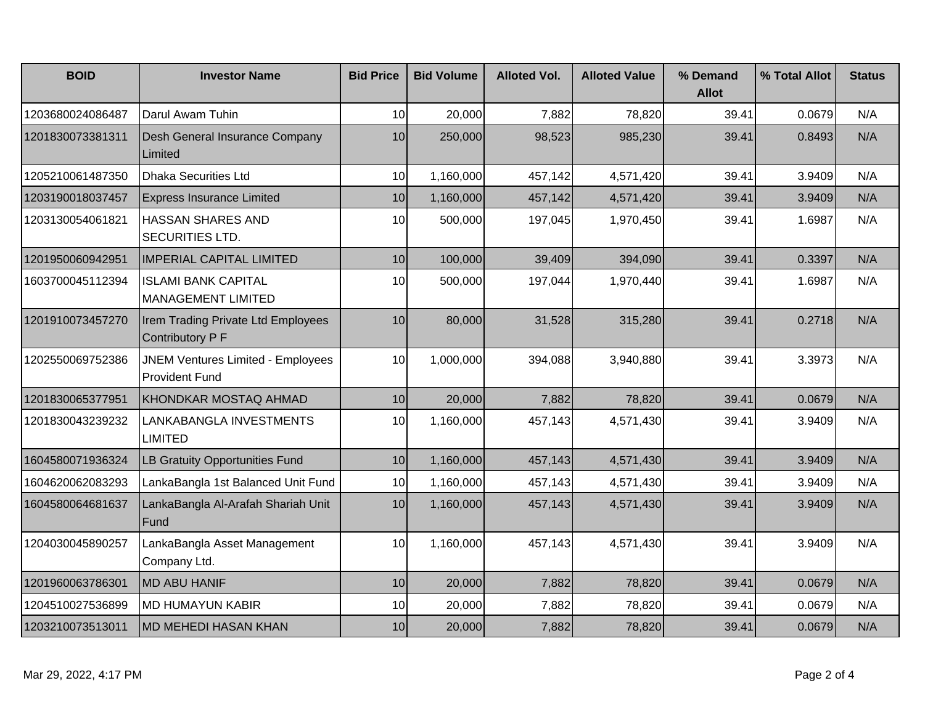| <b>BOID</b>      | <b>Investor Name</b>                                              | <b>Bid Price</b> | <b>Bid Volume</b> | <b>Alloted Vol.</b> | <b>Alloted Value</b> | % Demand<br><b>Allot</b> | % Total Allot | <b>Status</b> |
|------------------|-------------------------------------------------------------------|------------------|-------------------|---------------------|----------------------|--------------------------|---------------|---------------|
| 1203680024086487 | Darul Awam Tuhin                                                  | 10               | 20,000            | 7,882               | 78,820               | 39.41                    | 0.0679        | N/A           |
| 1201830073381311 | Desh General Insurance Company<br>Limited                         | 10               | 250,000           | 98,523              | 985,230              | 39.41                    | 0.8493        | N/A           |
| 1205210061487350 | <b>Dhaka Securities Ltd</b>                                       | 10               | 1,160,000         | 457,142             | 4,571,420            | 39.41                    | 3.9409        | N/A           |
| 1203190018037457 | <b>Express Insurance Limited</b>                                  | 10               | 1,160,000         | 457,142             | 4,571,420            | 39.41                    | 3.9409        | N/A           |
| 1203130054061821 | <b>HASSAN SHARES AND</b><br>SECURITIES LTD.                       | 10               | 500,000           | 197,045             | 1,970,450            | 39.41                    | 1.6987        | N/A           |
| 1201950060942951 | <b>IMPERIAL CAPITAL LIMITED</b>                                   | 10 <sup>1</sup>  | 100,000           | 39,409              | 394,090              | 39.41                    | 0.3397        | N/A           |
| 1603700045112394 | <b>ISLAMI BANK CAPITAL</b><br><b>MANAGEMENT LIMITED</b>           | 10               | 500,000           | 197,044             | 1,970,440            | 39.41                    | 1.6987        | N/A           |
| 1201910073457270 | Irem Trading Private Ltd Employees<br>Contributory P F            | 10 <sup>1</sup>  | 80,000            | 31,528              | 315,280              | 39.41                    | 0.2718        | N/A           |
| 1202550069752386 | <b>JNEM Ventures Limited - Employees</b><br><b>Provident Fund</b> | 10               | 1,000,000         | 394,088             | 3,940,880            | 39.41                    | 3.3973        | N/A           |
| 1201830065377951 | KHONDKAR MOSTAQ AHMAD                                             | 10               | 20,000            | 7,882               | 78,820               | 39.41                    | 0.0679        | N/A           |
| 1201830043239232 | LANKABANGLA INVESTMENTS<br><b>LIMITED</b>                         | 10               | 1,160,000         | 457,143             | 4,571,430            | 39.41                    | 3.9409        | N/A           |
| 1604580071936324 | <b>LB Gratuity Opportunities Fund</b>                             | 10               | 1,160,000         | 457,143             | 4,571,430            | 39.41                    | 3.9409        | N/A           |
| 1604620062083293 | LankaBangla 1st Balanced Unit Fund                                | 10               | 1,160,000         | 457,143             | 4,571,430            | 39.41                    | 3.9409        | N/A           |
| 1604580064681637 | LankaBangla Al-Arafah Shariah Unit<br>Fund                        | 10 <sup>1</sup>  | 1,160,000         | 457,143             | 4,571,430            | 39.41                    | 3.9409        | N/A           |
| 1204030045890257 | LankaBangla Asset Management<br>Company Ltd.                      | 10               | 1,160,000         | 457,143             | 4,571,430            | 39.41                    | 3.9409        | N/A           |
| 1201960063786301 | MD ABU HANIF                                                      | 10 <sup>1</sup>  | 20,000            | 7,882               | 78,820               | 39.41                    | 0.0679        | N/A           |
| 1204510027536899 | <b>MD HUMAYUN KABIR</b>                                           | 10               | 20,000            | 7,882               | 78,820               | 39.41                    | 0.0679        | N/A           |
| 1203210073513011 | <b>MD MEHEDI HASAN KHAN</b>                                       | 10               | 20,000            | 7,882               | 78,820               | 39.41                    | 0.0679        | N/A           |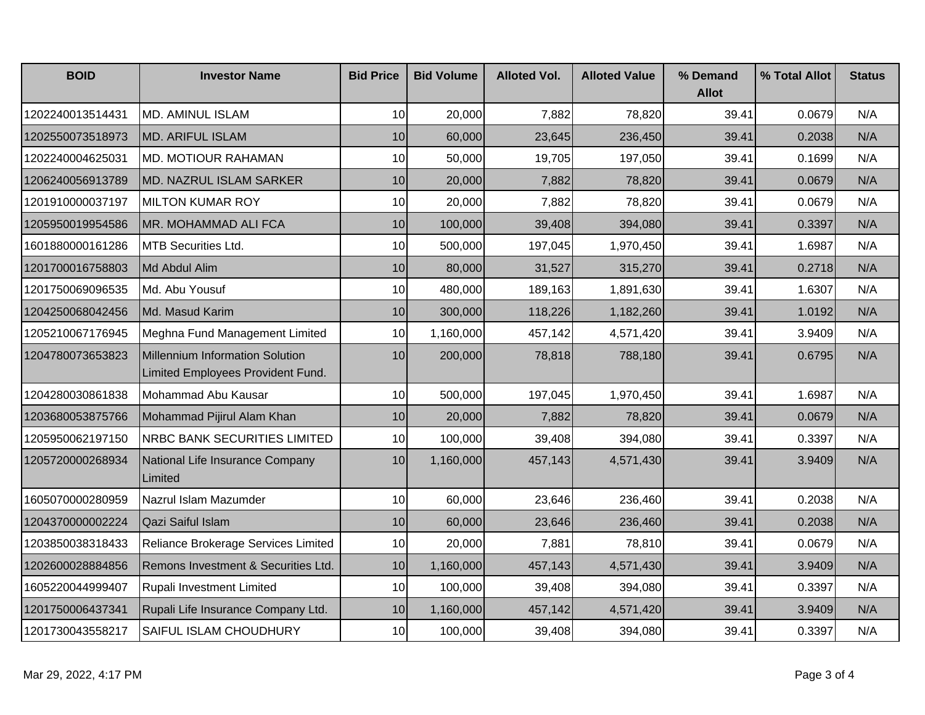| <b>BOID</b>      | <b>Investor Name</b>                                                 | <b>Bid Price</b> | <b>Bid Volume</b> | <b>Alloted Vol.</b> | <b>Alloted Value</b> | % Demand<br><b>Allot</b> | % Total Allot | <b>Status</b> |
|------------------|----------------------------------------------------------------------|------------------|-------------------|---------------------|----------------------|--------------------------|---------------|---------------|
| 1202240013514431 | <b>MD. AMINUL ISLAM</b>                                              | 10               | 20,000            | 7,882               | 78,820               | 39.41                    | 0.0679        | N/A           |
| 1202550073518973 | <b>MD. ARIFUL ISLAM</b>                                              | 10               | 60,000            | 23,645              | 236,450              | 39.41                    | 0.2038        | N/A           |
| 1202240004625031 | <b>MD. MOTIOUR RAHAMAN</b>                                           | 10               | 50,000            | 19,705              | 197,050              | 39.41                    | 0.1699        | N/A           |
| 1206240056913789 | <b>MD. NAZRUL ISLAM SARKER</b>                                       | 10               | 20,000            | 7,882               | 78,820               | 39.41                    | 0.0679        | N/A           |
| 1201910000037197 | <b>MILTON KUMAR ROY</b>                                              | 10               | 20,000            | 7,882               | 78,820               | 39.41                    | 0.0679        | N/A           |
| 1205950019954586 | MR. MOHAMMAD ALI FCA                                                 | 10               | 100,000           | 39,408              | 394,080              | 39.41                    | 0.3397        | N/A           |
| 1601880000161286 | <b>MTB Securities Ltd.</b>                                           | 10               | 500,000           | 197,045             | 1,970,450            | 39.41                    | 1.6987        | N/A           |
| 1201700016758803 | Md Abdul Alim                                                        | 10               | 80,000            | 31,527              | 315,270              | 39.41                    | 0.2718        | N/A           |
| 1201750069096535 | Md. Abu Yousuf                                                       | 10               | 480,000           | 189,163             | 1,891,630            | 39.41                    | 1.6307        | N/A           |
| 1204250068042456 | Md. Masud Karim                                                      | 10               | 300,000           | 118,226             | 1,182,260            | 39.41                    | 1.0192        | N/A           |
| 1205210067176945 | Meghna Fund Management Limited                                       | 10               | 1,160,000         | 457,142             | 4,571,420            | 39.41                    | 3.9409        | N/A           |
| 1204780073653823 | Millennium Information Solution<br>Limited Employees Provident Fund. | 10 <sup>1</sup>  | 200,000           | 78,818              | 788,180              | 39.41                    | 0.6795        | N/A           |
| 1204280030861838 | Mohammad Abu Kausar                                                  | 10               | 500,000           | 197,045             | 1,970,450            | 39.41                    | 1.6987        | N/A           |
| 1203680053875766 | Mohammad Pijirul Alam Khan                                           | 10               | 20,000            | 7,882               | 78,820               | 39.41                    | 0.0679        | N/A           |
| 1205950062197150 | NRBC BANK SECURITIES LIMITED                                         | 10               | 100,000           | 39,408              | 394,080              | 39.41                    | 0.3397        | N/A           |
| 1205720000268934 | National Life Insurance Company<br>Limited                           | 10               | 1,160,000         | 457,143             | 4,571,430            | 39.41                    | 3.9409        | N/A           |
| 1605070000280959 | Nazrul Islam Mazumder                                                | 10               | 60,000            | 23,646              | 236,460              | 39.41                    | 0.2038        | N/A           |
| 1204370000002224 | Qazi Saiful Islam                                                    | 10               | 60,000            | 23,646              | 236,460              | 39.41                    | 0.2038        | N/A           |
| 1203850038318433 | Reliance Brokerage Services Limited                                  | 10               | 20,000            | 7,881               | 78,810               | 39.41                    | 0.0679        | N/A           |
| 1202600028884856 | Remons Investment & Securities Ltd.                                  | 10               | 1,160,000         | 457,143             | 4,571,430            | 39.41                    | 3.9409        | N/A           |
| 1605220044999407 | Rupali Investment Limited                                            | 10               | 100,000           | 39,408              | 394,080              | 39.41                    | 0.3397        | N/A           |
| 1201750006437341 | Rupali Life Insurance Company Ltd.                                   | 10               | 1,160,000         | 457,142             | 4,571,420            | 39.41                    | 3.9409        | N/A           |
| 1201730043558217 | SAIFUL ISLAM CHOUDHURY                                               | 10               | 100,000           | 39,408              | 394,080              | 39.41                    | 0.3397        | N/A           |